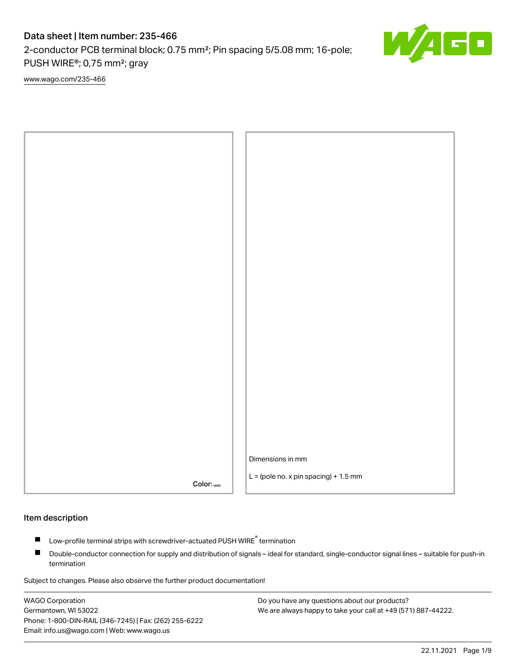2-conductor PCB terminal block; 0.75 mm²; Pin spacing 5/5.08 mm; 16-pole; PUSH WIRE®; 0,75 mm²; gray

[www.wago.com/235-466](http://www.wago.com/235-466)



### Item description

- Low-profile terminal strips with screwdriver-actuated PUSH WIRE<sup>®</sup> termination П
- $\blacksquare$ Double-conductor connection for supply and distribution of signals – ideal for standard, single-conductor signal lines – suitable for push-in termination

Subject to changes. Please also observe the further product documentation!

WAGO Corporation Germantown, WI 53022 Phone: 1-800-DIN-RAIL (346-7245) | Fax: (262) 255-6222 Email: info.us@wago.com | Web: www.wago.us

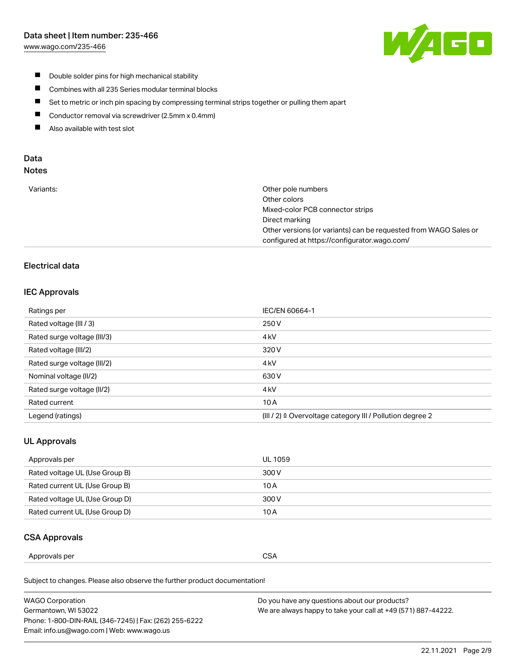[www.wago.com/235-466](http://www.wago.com/235-466)



- $\blacksquare$ Double solder pins for high mechanical stability
- $\blacksquare$ Combines with all 235 Series modular terminal blocks
- $\blacksquare$ Set to metric or inch pin spacing by compressing terminal strips together or pulling them apart
- $\blacksquare$ Conductor removal via screwdriver (2.5mm x 0.4mm)
- $\blacksquare$ Also available with test slot

# Data

| Variants: | Other pole numbers                                               |
|-----------|------------------------------------------------------------------|
|           | Other colors                                                     |
|           | Mixed-color PCB connector strips                                 |
|           | Direct marking                                                   |
|           | Other versions (or variants) can be requested from WAGO Sales or |
|           | configured at https://configurator.wago.com/                     |
|           |                                                                  |

# Electrical data

# IEC Approvals

| Ratings per                 | IEC/EN 60664-1                                                        |
|-----------------------------|-----------------------------------------------------------------------|
| Rated voltage (III / 3)     | 250 V                                                                 |
| Rated surge voltage (III/3) | 4 <sub>k</sub> V                                                      |
| Rated voltage (III/2)       | 320 V                                                                 |
| Rated surge voltage (III/2) | 4 <sub>k</sub> V                                                      |
| Nominal voltage (II/2)      | 630 V                                                                 |
| Rated surge voltage (II/2)  | 4 <sub>k</sub> V                                                      |
| Rated current               | 10A                                                                   |
| Legend (ratings)            | $(III / 2)$ $\triangle$ Overvoltage category III / Pollution degree 2 |

# UL Approvals

| Approvals per                  | UL 1059 |
|--------------------------------|---------|
| Rated voltage UL (Use Group B) | 300 V   |
| Rated current UL (Use Group B) | 10 A    |
| Rated voltage UL (Use Group D) | 300 V   |
| Rated current UL (Use Group D) | 10 A    |

# CSA Approvals

| Approvals per | $\sim$<br>. J<br>◡◡◠<br>$ -$ |
|---------------|------------------------------|
|---------------|------------------------------|

Subject to changes. Please also observe the further product documentation!

| <b>WAGO Corporation</b>                                | Do you have any questions about our products?                 |
|--------------------------------------------------------|---------------------------------------------------------------|
| Germantown, WI 53022                                   | We are always happy to take your call at +49 (571) 887-44222. |
| Phone: 1-800-DIN-RAIL (346-7245)   Fax: (262) 255-6222 |                                                               |
| Email: info.us@wago.com   Web: www.wago.us             |                                                               |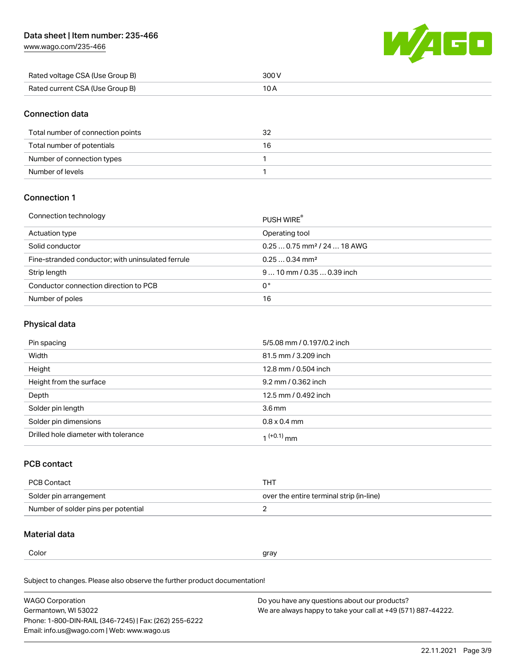[www.wago.com/235-466](http://www.wago.com/235-466)



| Rated voltage CSA (Use Group B) | 300 V |
|---------------------------------|-------|
| Rated current CSA (Use Group B) |       |

### Connection data

| Total number of connection points | 32 |
|-----------------------------------|----|
| Total number of potentials        | 16 |
| Number of connection types        |    |
| Number of levels                  |    |

# Connection 1

### Connection technology PUSH WIRE® PUSH WIRE®

|                                                   | <b>PUSH WIRE</b>                        |
|---------------------------------------------------|-----------------------------------------|
| Actuation type                                    | Operating tool                          |
| Solid conductor                                   | $0.250.75$ mm <sup>2</sup> / 24  18 AWG |
| Fine-stranded conductor; with uninsulated ferrule | $0.250.34$ mm <sup>2</sup>              |
| Strip length                                      | $910$ mm / 0.35  0.39 inch              |
| Conductor connection direction to PCB             | 0°                                      |
| Number of poles                                   | 16                                      |

# Physical data

| Pin spacing                          | 5/5.08 mm / 0.197/0.2 inch |
|--------------------------------------|----------------------------|
| Width                                | 81.5 mm / 3.209 inch       |
| Height                               | 12.8 mm / 0.504 inch       |
| Height from the surface              | 9.2 mm / 0.362 inch        |
| Depth                                | 12.5 mm / 0.492 inch       |
| Solder pin length                    | $3.6 \,\mathrm{mm}$        |
| Solder pin dimensions                | $0.8 \times 0.4$ mm        |
| Drilled hole diameter with tolerance | $1^{(+0.1)}$ mm            |

# PCB contact

| PCB Contact                         | тнт                                      |
|-------------------------------------|------------------------------------------|
| Solder pin arrangement              | over the entire terminal strip (in-line) |
| Number of solder pins per potential |                                          |

# Material data

| I<br>M<br>۰.<br>۰. | ×<br>۰. |
|--------------------|---------|
|--------------------|---------|

 $\alpha$  gray

Subject to changes. Please also observe the further product documentation! Material group I

| <b>WAGO Corporation</b>                                | Do you have any questions about our products?                 |
|--------------------------------------------------------|---------------------------------------------------------------|
| Germantown, WI 53022                                   | We are always happy to take your call at +49 (571) 887-44222. |
| Phone: 1-800-DIN-RAIL (346-7245)   Fax: (262) 255-6222 |                                                               |
| Email: info.us@wago.com   Web: www.wago.us             |                                                               |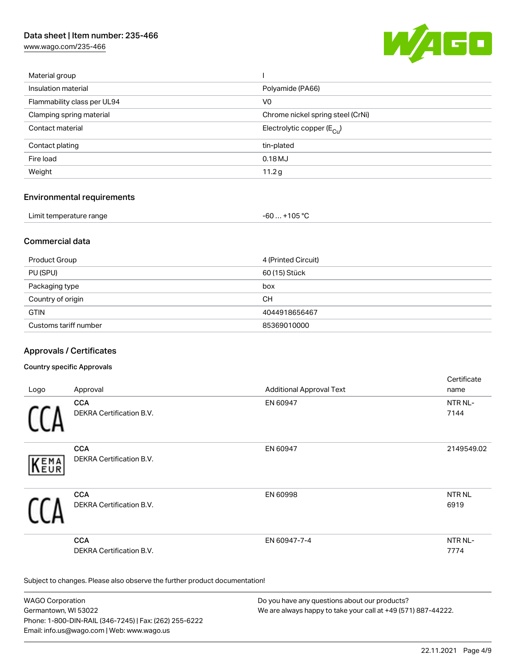[www.wago.com/235-466](http://www.wago.com/235-466)



| Material group              |                                         |
|-----------------------------|-----------------------------------------|
| Insulation material         | Polyamide (PA66)                        |
| Flammability class per UL94 | V0                                      |
| Clamping spring material    | Chrome nickel spring steel (CrNi)       |
| Contact material            | Electrolytic copper ( $E_{\text{Cl}}$ ) |
| Contact plating             | tin-plated                              |
| Fire load                   | 0.18MJ                                  |
| Weight                      | 11.2 <sub>g</sub>                       |
|                             |                                         |

### Environmental requirements

| Limit temperature range                                                                                                                                                                                                              | $+105 °C$ |
|--------------------------------------------------------------------------------------------------------------------------------------------------------------------------------------------------------------------------------------|-----------|
|                                                                                                                                                                                                                                      | -60 …     |
| $\blacksquare$ . The contract of the contract of the contract of the contract of the contract of the contract of the contract of the contract of the contract of the contract of the contract of the contract of the contract of the |           |

# Commercial data

| Product Group         | 4 (Printed Circuit) |
|-----------------------|---------------------|
| PU (SPU)              | 60 (15) Stück       |
| Packaging type        | box                 |
| Country of origin     | CН                  |
| <b>GTIN</b>           | 4044918656467       |
| Customs tariff number | 85369010000         |

# Approvals / Certificates

### Country specific Approvals

|      |                                               |                                 | Certificate     |
|------|-----------------------------------------------|---------------------------------|-----------------|
| Logo | Approval                                      | <b>Additional Approval Text</b> | name            |
|      | <b>CCA</b>                                    | EN 60947                        | NTR NL-         |
|      | <b>DEKRA Certification B.V.</b>               |                                 | 7144            |
| KEMA | <b>CCA</b><br>DEKRA Certification B.V.        | EN 60947                        | 2149549.02      |
|      | <b>CCA</b><br><b>DEKRA Certification B.V.</b> | EN 60998                        | NTR NL<br>6919  |
|      | <b>CCA</b><br>DEKRA Certification B.V.        | EN 60947-7-4                    | NTR NL-<br>7774 |

Subject to changes. Please also observe the further product documentation!

WAGO Corporation Germantown, WI 53022 Phone: 1-800-DIN-RAIL (346-7245) | Fax: (262) 255-6222 Email: info.us@wago.com | Web: www.wago.us Do you have any questions about our products? We are always happy to take your call at +49 (571) 887-44222.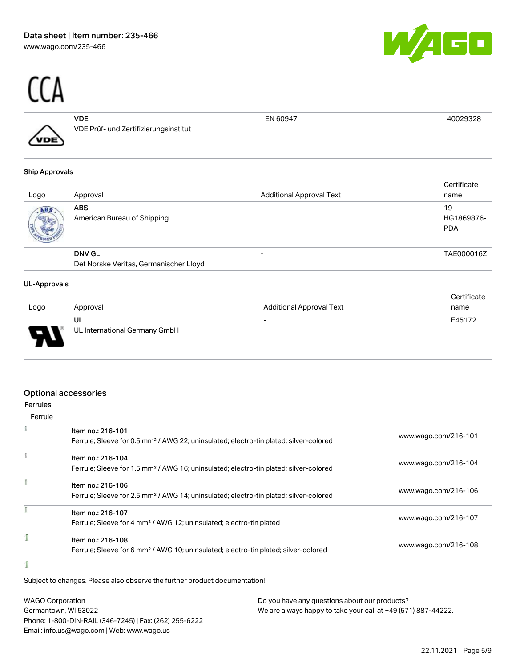

# $\frac{C(A)}{A^{D}}$

|   | VDE                                   | EN 60947 |  |
|---|---------------------------------------|----------|--|
| ∕ | VDE Prüf- und Zertifizierungsinstitut |          |  |
|   |                                       |          |  |

### Ship Approvals

| Logo | Approval                               | <b>Additional Approval Text</b> | Certificate<br>name               |
|------|----------------------------------------|---------------------------------|-----------------------------------|
| ABS. | ABS<br>American Bureau of Shipping     |                                 | $19-$<br>HG1869876-<br><b>PDA</b> |
|      | <b>DNV GL</b>                          |                                 | TAE000016Z                        |
|      | Det Norske Veritas, Germanischer Lloyd |                                 |                                   |

### UL-Approvals

|                               |                               |                                 | Certificate |
|-------------------------------|-------------------------------|---------------------------------|-------------|
| Logo                          | Approval                      | <b>Additional Approval Text</b> | name        |
|                               | UL                            | $\overline{\phantom{0}}$        | E45172      |
| L<br>$\overline{\phantom{a}}$ | UL International Germany GmbH |                                 |             |

# Optional accessories

| Ferrule |                                                                                                   |                      |
|---------|---------------------------------------------------------------------------------------------------|----------------------|
|         | Item no.: 216-101                                                                                 | www.wago.com/216-101 |
|         | Ferrule; Sleeve for 0.5 mm <sup>2</sup> / AWG 22; uninsulated; electro-tin plated; silver-colored |                      |
|         | Item no.: 216-104                                                                                 |                      |
|         | Ferrule; Sleeve for 1.5 mm <sup>2</sup> / AWG 16; uninsulated; electro-tin plated; silver-colored | www.wago.com/216-104 |
|         | Item no.: 216-106                                                                                 |                      |
|         | Ferrule; Sleeve for 2.5 mm <sup>2</sup> / AWG 14; uninsulated; electro-tin plated; silver-colored | www.wago.com/216-106 |
|         | Item no.: 216-107                                                                                 |                      |
|         | Ferrule; Sleeve for 4 mm <sup>2</sup> / AWG 12; uninsulated; electro-tin plated                   | www.wago.com/216-107 |
|         | Item no.: 216-108                                                                                 |                      |
|         | Ferrule; Sleeve for 6 mm <sup>2</sup> / AWG 10; uninsulated; electro-tin plated; silver-colored   | www.wago.com/216-108 |
|         |                                                                                                   |                      |

### ſ

Subject to changes. Please also observe the further product documentation!

| <b>WAGO Corporation</b>                                | Do you have any questions about our products?                 |
|--------------------------------------------------------|---------------------------------------------------------------|
| Germantown, WI 53022                                   | We are always happy to take your call at +49 (571) 887-44222. |
| Phone: 1-800-DIN-RAIL (346-7245)   Fax: (262) 255-6222 |                                                               |
| Email: info.us@wago.com   Web: www.wago.us             |                                                               |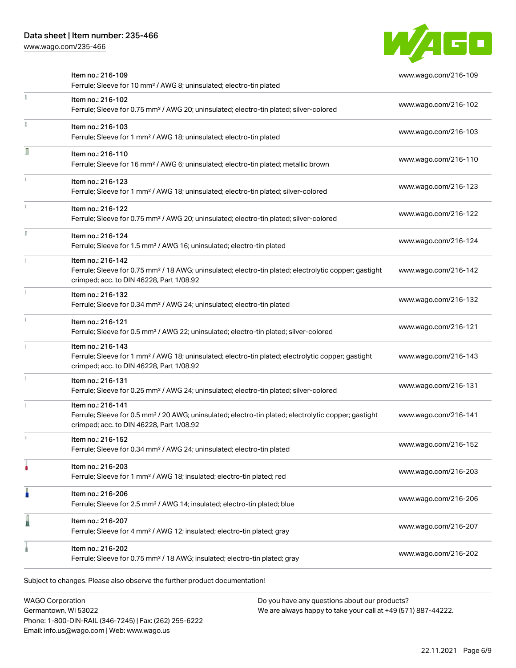[www.wago.com/235-466](http://www.wago.com/235-466)



| Item no.: 216-202<br>Ferrule; Sleeve for 0.75 mm <sup>2</sup> / 18 AWG; insulated; electro-tin plated; gray                                                                        | www.wago.com/216-202 |
|------------------------------------------------------------------------------------------------------------------------------------------------------------------------------------|----------------------|
| Item no.: 216-207<br>Ferrule; Sleeve for 4 mm <sup>2</sup> / AWG 12; insulated; electro-tin plated; gray                                                                           | www.wago.com/216-207 |
| Item no.: 216-206<br>Ferrule; Sleeve for 2.5 mm <sup>2</sup> / AWG 14; insulated; electro-tin plated; blue                                                                         | www.wago.com/216-206 |
| Item no.: 216-203<br>Ferrule; Sleeve for 1 mm <sup>2</sup> / AWG 18; insulated; electro-tin plated; red                                                                            | www.wago.com/216-203 |
| Item no.: 216-152<br>Ferrule; Sleeve for 0.34 mm <sup>2</sup> / AWG 24; uninsulated; electro-tin plated                                                                            | www.wago.com/216-152 |
| Item no.: 216-141<br>Ferrule; Sleeve for 0.5 mm <sup>2</sup> / 20 AWG; uninsulated; electro-tin plated; electrolytic copper; gastight<br>crimped; acc. to DIN 46228, Part 1/08.92  | www.wago.com/216-141 |
| Item no.: 216-131<br>Ferrule; Sleeve for 0.25 mm <sup>2</sup> / AWG 24; uninsulated; electro-tin plated; silver-colored                                                            | www.wago.com/216-131 |
| Item no.: 216-143<br>Ferrule; Sleeve for 1 mm <sup>2</sup> / AWG 18; uninsulated; electro-tin plated; electrolytic copper; gastight<br>crimped; acc. to DIN 46228, Part 1/08.92    | www.wago.com/216-143 |
| Item no.: 216-121<br>Ferrule; Sleeve for 0.5 mm <sup>2</sup> / AWG 22; uninsulated; electro-tin plated; silver-colored                                                             | www.wago.com/216-121 |
| Item no.: 216-132<br>Ferrule; Sleeve for 0.34 mm <sup>2</sup> / AWG 24; uninsulated; electro-tin plated                                                                            | www.wago.com/216-132 |
| Item no.: 216-142<br>Ferrule; Sleeve for 0.75 mm <sup>2</sup> / 18 AWG; uninsulated; electro-tin plated; electrolytic copper; gastight<br>crimped; acc. to DIN 46228, Part 1/08.92 | www.wago.com/216-142 |
| Item no.: 216-124<br>Ferrule; Sleeve for 1.5 mm <sup>2</sup> / AWG 16; uninsulated; electro-tin plated                                                                             | www.wago.com/216-124 |
| Item no.: 216-122<br>Ferrule; Sleeve for 0.75 mm <sup>2</sup> / AWG 20; uninsulated; electro-tin plated; silver-colored                                                            | www.wago.com/216-122 |
| Item no.: 216-123<br>Ferrule; Sleeve for 1 mm <sup>2</sup> / AWG 18; uninsulated; electro-tin plated; silver-colored                                                               | www.wago.com/216-123 |
| Item no.: 216-110<br>Ferrule; Sleeve for 16 mm <sup>2</sup> / AWG 6; uninsulated; electro-tin plated; metallic brown                                                               | www.wago.com/216-110 |
| Item no.: 216-103<br>Ferrule; Sleeve for 1 mm <sup>2</sup> / AWG 18; uninsulated; electro-tin plated                                                                               | www.wago.com/216-103 |
| Item no.: 216-102<br>Ferrule; Sleeve for 0.75 mm <sup>2</sup> / AWG 20; uninsulated; electro-tin plated; silver-colored                                                            | www.wago.com/216-102 |
| Item no.: 216-109<br>Ferrule; Sleeve for 10 mm <sup>2</sup> / AWG 8; uninsulated; electro-tin plated                                                                               | www.wago.com/216-109 |

WAGO Corporation Germantown, WI 53022 Phone: 1-800-DIN-RAIL (346-7245) | Fax: (262) 255-6222 Email: info.us@wago.com | Web: www.wago.us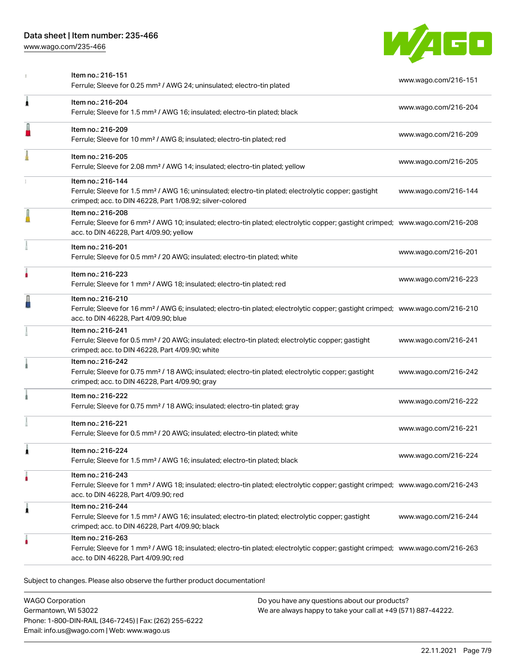[www.wago.com/235-466](http://www.wago.com/235-466)



|   | Item no.: 216-151<br>Ferrule; Sleeve for 0.25 mm <sup>2</sup> / AWG 24; uninsulated; electro-tin plated                                                                                                    | www.wago.com/216-151 |
|---|------------------------------------------------------------------------------------------------------------------------------------------------------------------------------------------------------------|----------------------|
| Â | Item no.: 216-204<br>Ferrule; Sleeve for 1.5 mm <sup>2</sup> / AWG 16; insulated; electro-tin plated; black                                                                                                | www.wago.com/216-204 |
|   | Item no.: 216-209<br>Ferrule; Sleeve for 10 mm <sup>2</sup> / AWG 8; insulated; electro-tin plated; red                                                                                                    | www.wago.com/216-209 |
|   | Item no.: 216-205<br>Ferrule; Sleeve for 2.08 mm <sup>2</sup> / AWG 14; insulated; electro-tin plated; yellow                                                                                              | www.wago.com/216-205 |
|   | Item no.: 216-144<br>Ferrule; Sleeve for 1.5 mm <sup>2</sup> / AWG 16; uninsulated; electro-tin plated; electrolytic copper; gastight<br>crimped; acc. to DIN 46228, Part 1/08.92; silver-colored          | www.wago.com/216-144 |
|   | Item no.: 216-208<br>Ferrule; Sleeve for 6 mm <sup>2</sup> / AWG 10; insulated; electro-tin plated; electrolytic copper; gastight crimped; www.wago.com/216-208<br>acc. to DIN 46228, Part 4/09.90; yellow |                      |
|   | Item no.: 216-201<br>Ferrule; Sleeve for 0.5 mm <sup>2</sup> / 20 AWG; insulated; electro-tin plated; white                                                                                                | www.wago.com/216-201 |
|   | Item no.: 216-223<br>Ferrule; Sleeve for 1 mm <sup>2</sup> / AWG 18; insulated; electro-tin plated; red                                                                                                    | www.wago.com/216-223 |
|   | Item no.: 216-210<br>Ferrule; Sleeve for 16 mm <sup>2</sup> / AWG 6; insulated; electro-tin plated; electrolytic copper; gastight crimped; www.wago.com/216-210<br>acc. to DIN 46228, Part 4/09.90; blue   |                      |
|   | Item no.: 216-241<br>Ferrule; Sleeve for 0.5 mm <sup>2</sup> / 20 AWG; insulated; electro-tin plated; electrolytic copper; gastight<br>crimped; acc. to DIN 46228, Part 4/09.90; white                     | www.wago.com/216-241 |
|   | Item no.: 216-242<br>Ferrule; Sleeve for 0.75 mm <sup>2</sup> / 18 AWG; insulated; electro-tin plated; electrolytic copper; gastight<br>crimped; acc. to DIN 46228, Part 4/09.90; gray                     | www.wago.com/216-242 |
|   | Item no.: 216-222<br>Ferrule; Sleeve for 0.75 mm <sup>2</sup> / 18 AWG; insulated; electro-tin plated; gray                                                                                                | www.wago.com/216-222 |
|   | Item no.: 216-221<br>Ferrule; Sleeve for 0.5 mm <sup>2</sup> / 20 AWG; insulated; electro-tin plated; white                                                                                                | www.wago.com/216-221 |
|   | Item no.: 216-224<br>Ferrule; Sleeve for 1.5 mm <sup>2</sup> / AWG 16; insulated; electro-tin plated; black                                                                                                | www.wago.com/216-224 |
|   | Item no.: 216-243<br>Ferrule; Sleeve for 1 mm <sup>2</sup> / AWG 18; insulated; electro-tin plated; electrolytic copper; gastight crimped; www.wago.com/216-243<br>acc. to DIN 46228, Part 4/09.90; red    |                      |
| Â | Item no.: 216-244<br>Ferrule; Sleeve for 1.5 mm <sup>2</sup> / AWG 16; insulated; electro-tin plated; electrolytic copper; gastight<br>crimped; acc. to DIN 46228, Part 4/09.90; black                     | www.wago.com/216-244 |
|   | Item no.: 216-263<br>Ferrule; Sleeve for 1 mm <sup>2</sup> / AWG 18; insulated; electro-tin plated; electrolytic copper; gastight crimped; www.wago.com/216-263<br>acc. to DIN 46228, Part 4/09.90; red    |                      |

Subject to changes. Please also observe the further product documentation!

| <b>WAGO Corporation</b>                                |
|--------------------------------------------------------|
| Germantown, WI 53022                                   |
| Phone: 1-800-DIN-RAIL (346-7245)   Fax: (262) 255-6222 |
| Email: info.us@wago.com   Web: www.wago.us             |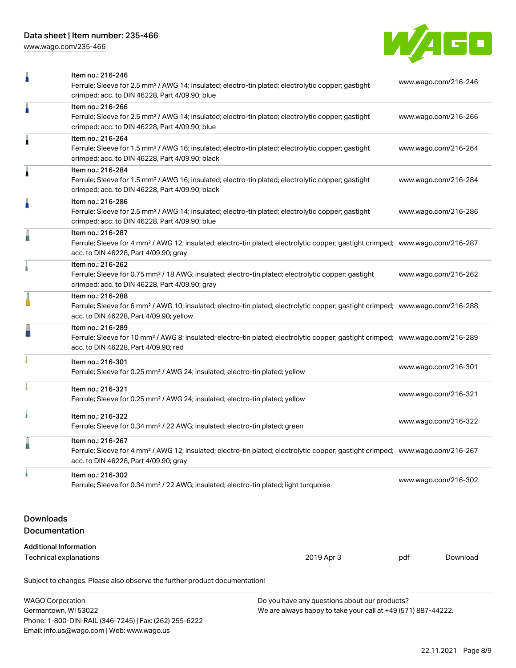[www.wago.com/235-466](http://www.wago.com/235-466)



|                                                                                          | Item no.: 216-246<br>Ferrule; Sleeve for 2.5 mm <sup>2</sup> / AWG 14; insulated; electro-tin plated; electrolytic copper; gastight<br>crimped; acc. to DIN 46228, Part 4/09.90; blue                      |  | www.wago.com/216-246 |  |  |
|------------------------------------------------------------------------------------------|------------------------------------------------------------------------------------------------------------------------------------------------------------------------------------------------------------|--|----------------------|--|--|
| ä                                                                                        | Item no.: 216-266<br>Ferrule; Sleeve for 2.5 mm <sup>2</sup> / AWG 14; insulated; electro-tin plated; electrolytic copper; gastight<br>crimped; acc. to DIN 46228, Part 4/09.90; blue                      |  | www.wago.com/216-266 |  |  |
| Â                                                                                        | Item no.: 216-264<br>Ferrule; Sleeve for 1.5 mm <sup>2</sup> / AWG 16; insulated; electro-tin plated; electrolytic copper; gastight<br>crimped; acc. to DIN 46228, Part 4/09.90; black                     |  | www.wago.com/216-264 |  |  |
| 1                                                                                        | Item no.: 216-284<br>Ferrule; Sleeve for 1.5 mm <sup>2</sup> / AWG 16; insulated; electro-tin plated; electrolytic copper; gastight<br>crimped; acc. to DIN 46228, Part 4/09.90; black                     |  | www.wago.com/216-284 |  |  |
| ŀ                                                                                        | Item no.: 216-286<br>Ferrule; Sleeve for 2.5 mm <sup>2</sup> / AWG 14; insulated; electro-tin plated; electrolytic copper; gastight<br>crimped; acc. to DIN 46228, Part 4/09.90; blue                      |  | www.wago.com/216-286 |  |  |
|                                                                                          | Item no.: 216-287<br>Ferrule; Sleeve for 4 mm <sup>2</sup> / AWG 12; insulated; electro-tin plated; electrolytic copper; gastight crimped; www.wago.com/216-287<br>acc. to DIN 46228, Part 4/09.90; gray   |  |                      |  |  |
|                                                                                          | Item no.: 216-262<br>Ferrule; Sleeve for 0.75 mm <sup>2</sup> / 18 AWG; insulated; electro-tin plated; electrolytic copper; gastight<br>crimped; acc. to DIN 46228, Part 4/09.90; gray                     |  | www.wago.com/216-262 |  |  |
|                                                                                          | Item no.: 216-288<br>Ferrule; Sleeve for 6 mm <sup>2</sup> / AWG 10; insulated; electro-tin plated; electrolytic copper; gastight crimped; www.wago.com/216-288<br>acc. to DIN 46228, Part 4/09.90; yellow |  |                      |  |  |
|                                                                                          | Item no.: 216-289<br>Ferrule; Sleeve for 10 mm <sup>2</sup> / AWG 8; insulated; electro-tin plated; electrolytic copper; gastight crimped; www.wago.com/216-289<br>acc. to DIN 46228, Part 4/09.90; red    |  |                      |  |  |
|                                                                                          | Item no.: 216-301<br>Ferrule; Sleeve for 0.25 mm <sup>2</sup> / AWG 24; insulated; electro-tin plated; yellow                                                                                              |  | www.wago.com/216-301 |  |  |
|                                                                                          | Item no.: 216-321<br>Ferrule; Sleeve for 0.25 mm <sup>2</sup> / AWG 24; insulated; electro-tin plated; yellow                                                                                              |  | www.wago.com/216-321 |  |  |
|                                                                                          | Item no.: 216-322<br>Ferrule; Sleeve for 0.34 mm <sup>2</sup> / 22 AWG; insulated; electro-tin plated; green                                                                                               |  | www.wago.com/216-322 |  |  |
|                                                                                          | Item no.: 216-267<br>Ferrule; Sleeve for 4 mm <sup>2</sup> / AWG 12; insulated; electro-tin plated; electrolytic copper; gastight crimped; www.wago.com/216-267<br>acc. to DIN 46228, Part 4/09.90; gray   |  |                      |  |  |
| ı                                                                                        | Item no.: 216-302<br>Ferrule; Sleeve for 0.34 mm <sup>2</sup> / 22 AWG; insulated; electro-tin plated; light turquoise                                                                                     |  | www.wago.com/216-302 |  |  |
| <b>Downloads</b><br>Documentation                                                        |                                                                                                                                                                                                            |  |                      |  |  |
| <b>Additional Information</b><br>2019 Apr 3<br>Download<br>Technical explanations<br>pdf |                                                                                                                                                                                                            |  |                      |  |  |
| Subject to changes. Please also observe the further product documentation!               |                                                                                                                                                                                                            |  |                      |  |  |

| <b>WAGO Corporation</b>                                | Do you have any questions about our products?                 |  |
|--------------------------------------------------------|---------------------------------------------------------------|--|
| Germantown, WI 53022                                   | We are always happy to take your call at +49 (571) 887-44222. |  |
| Phone: 1-800-DIN-RAIL (346-7245)   Fax: (262) 255-6222 |                                                               |  |
| Email: info.us@wago.com   Web: www.wago.us             |                                                               |  |